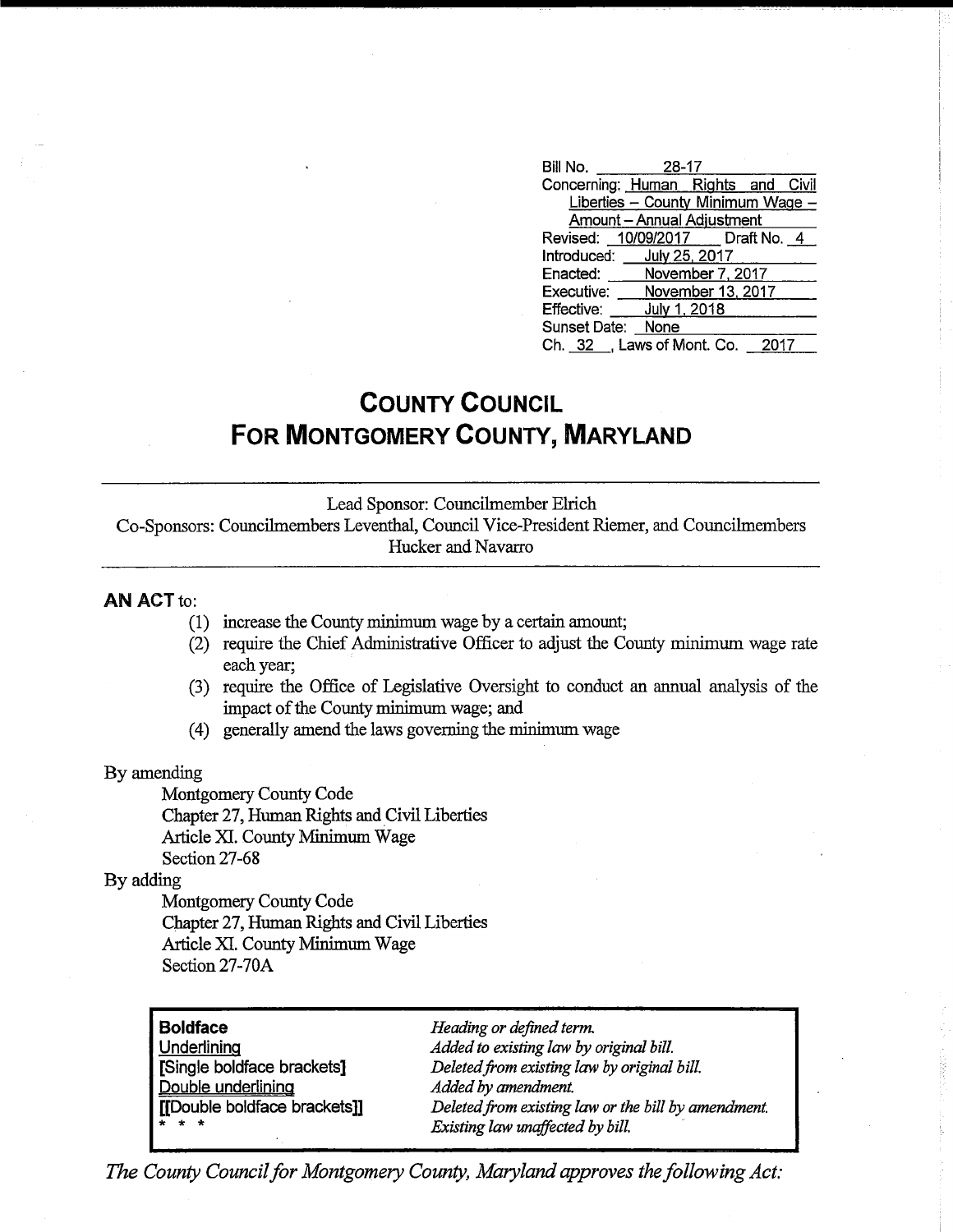| Bill No.<br>28-17                  |
|------------------------------------|
| Concerning: Human Rights and Civil |
| Liberties - County Minimum Wage -  |
| Amount - Annual Adjustment         |
| Revised: 10/09/2017 Draft No. 4    |
| Introduced: July 25, 2017          |
| Enacted: November 7, 2017          |
| Executive: November 13, 2017       |
| Effective: July 1, 2018            |
| Sunset Date: None                  |
| Ch. 32 , Laws of Mont. Co.<br>2017 |

## **COUNTY COUNCIL FOR MONTGOMERY COUNTY, MARYLAND**

Lead Sponsor: Councilmember EIrich

Co-Sponsors: Councilmembers Leventhal, Council Vice-President Riemer, and Councilmembers Hucker and Navarro

## AN ACT to:

- (1) increase the County minimum wage by a certain amount;
- (2) require the Chief Administrative Officer to adjust the County minimum wage rate each year;
- (3) require the Office of Legislative Oversight to conduct an annual analysis of the impact of the County minimum wage; and
- (4) generally amend the laws governing the minimum wage

## By amending

Montgomery County Code Chapter 27, Human Rights and Civil Liberties Article XL County Minimum Wage Section 27-68

## By adding

Montgomery County Code Chapter 27, Human Rights and Civil Liberties Article XI. County Minimum Wage Section 27-70A

**Boldface**  Underlining [Single boldface brackets] Double underlining [[Double boldface brackets]] \* \* \*

*Heading or defined term. Added to existing law by original bill. Deletedfrom existing law by original bill. Added by amendment. Deletedfrom existing law or the bill by amendment. Existing law unaffected by bill.* 

*The County Council for Montgomery County, Maryland approves the following Act:*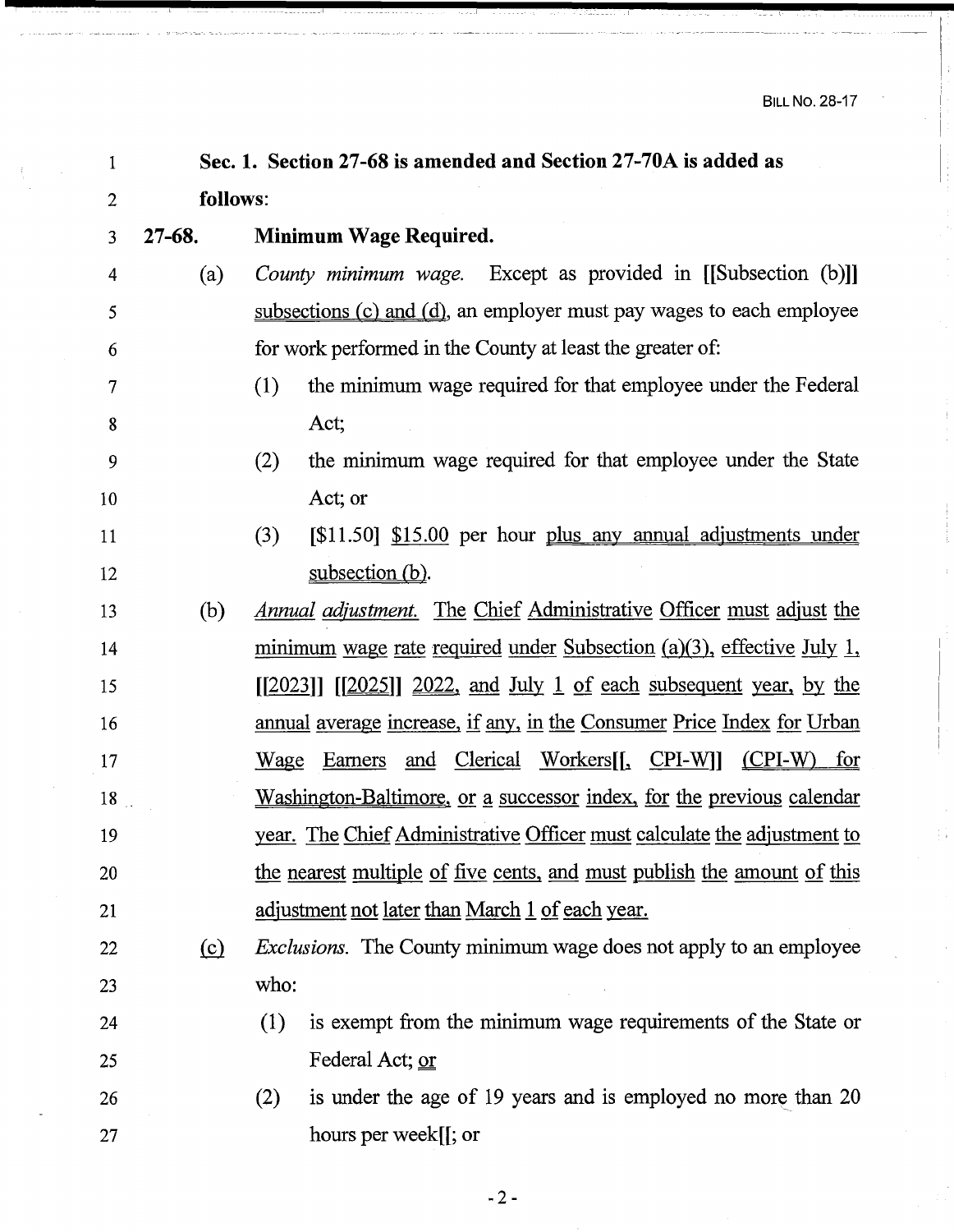| 1              |            | Sec. 1. Section 27-68 is amended and Section 27-70A is added as                        |  |  |  |  |
|----------------|------------|----------------------------------------------------------------------------------------|--|--|--|--|
| $\overline{2}$ | follows:   |                                                                                        |  |  |  |  |
| 3              | $27 - 68.$ | Minimum Wage Required.                                                                 |  |  |  |  |
| 4              | (a)        | <i>County minimum wage.</i> Except as provided in [[Subsection (b)]]                   |  |  |  |  |
| 5              |            | subsections (c) and (d), an employer must pay wages to each employee                   |  |  |  |  |
| 6              |            | for work performed in the County at least the greater of:                              |  |  |  |  |
| 7              |            | the minimum wage required for that employee under the Federal<br>(1)                   |  |  |  |  |
| 8              |            | Act;                                                                                   |  |  |  |  |
| 9              |            | the minimum wage required for that employee under the State<br>(2)                     |  |  |  |  |
| 10             |            | Act; or                                                                                |  |  |  |  |
| 11             |            | $\lceil $11.50 \rceil \rceil $15.00$ per hour plus any annual adjustments under<br>(3) |  |  |  |  |
| 12             |            | subsection (b).                                                                        |  |  |  |  |
| 13             | (b)        | <u>Annual adjustment. The Chief Administrative Officer must adjust the</u>             |  |  |  |  |
| 14             |            | minimum wage rate required under Subsection $(a)(3)$ , effective July 1,               |  |  |  |  |
| 15             |            | $[2023]$ $[2025]$ $2022$ , and July 1 of each subsequent year, by the                  |  |  |  |  |
| 16             |            | <u>annual average increase, if any, in the Consumer Price Index for Urban</u>          |  |  |  |  |
| 17             |            | Wage Earners and Clerical Workers[[, CPI-W]]<br>$(CPI-W)$ for                          |  |  |  |  |
| 18             |            | <u>Washington-Baltimore, or a successor index, for the previous calendar</u>           |  |  |  |  |
| 19             |            | <u>year. The Chief Administrative Officer must calculate the adjustment to</u>         |  |  |  |  |
| 20             |            | the nearest multiple of five cents, and must publish the amount of this                |  |  |  |  |
| 21             |            | <u>adjustment not later than March 1 of each year.</u>                                 |  |  |  |  |
| 22             | $\circ$    | <i>Exclusions.</i> The County minimum wage does not apply to an employee               |  |  |  |  |
| 23             |            | who:                                                                                   |  |  |  |  |
| 24             |            | (1)<br>is exempt from the minimum wage requirements of the State or                    |  |  |  |  |
| 25             |            | Federal Act; or                                                                        |  |  |  |  |
| 26             |            | is under the age of 19 years and is employed no more than 20<br>(2)                    |  |  |  |  |
| 27             |            | hours per week[[; or                                                                   |  |  |  |  |

- 2-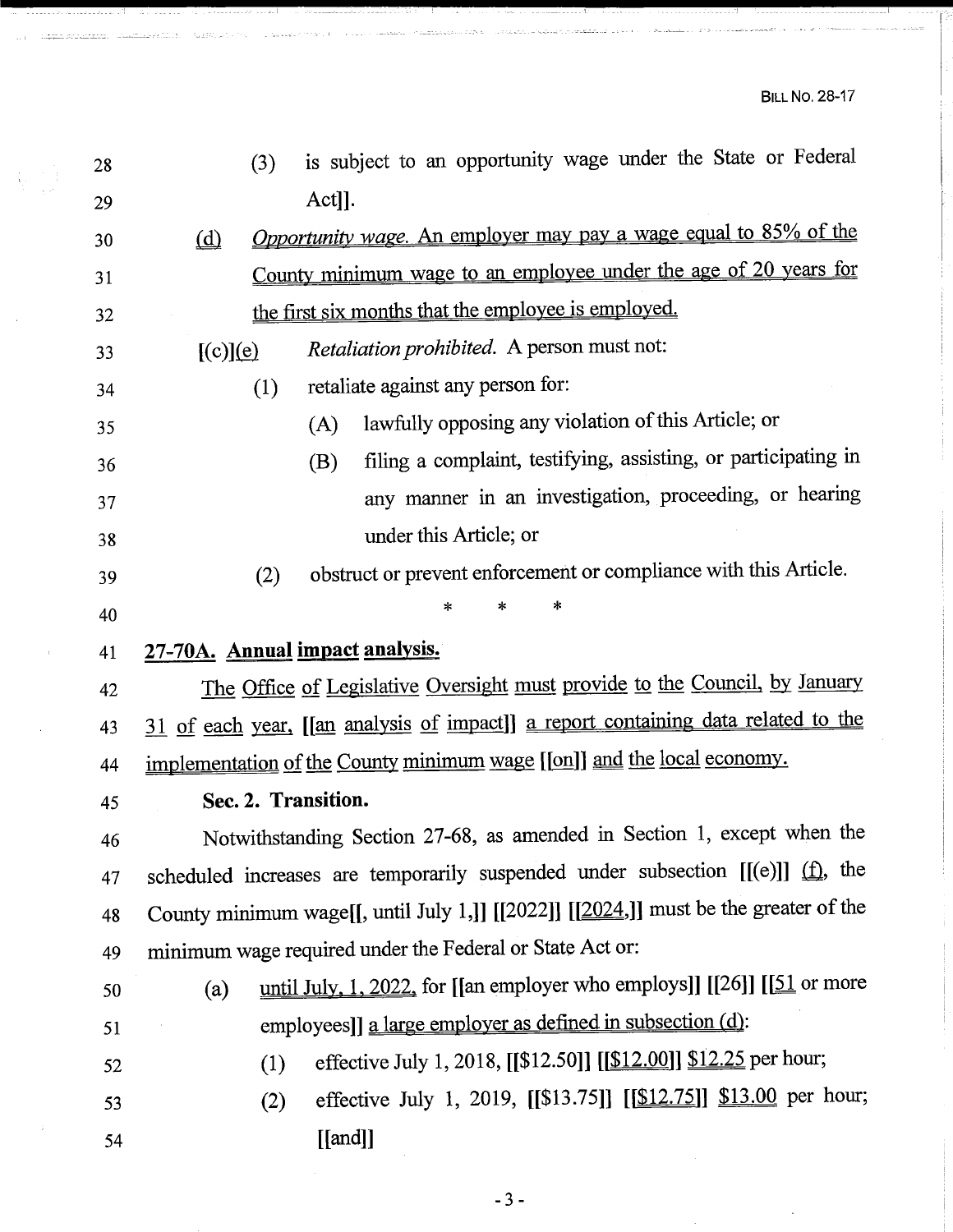$\sim$  in the set of  $\sim$ 

| 28 | (3)                             | is subject to an opportunity wage under the State or Federal                         |  |  |  |
|----|---------------------------------|--------------------------------------------------------------------------------------|--|--|--|
| 29 |                                 | Act]].                                                                               |  |  |  |
| 30 | ( <u>d</u> )                    | <i>Opportunity wage.</i> An employer may pay a wage equal to 85% of the              |  |  |  |
| 31 |                                 | County minimum wage to an employee under the age of 20 years for                     |  |  |  |
| 32 |                                 | the first six months that the employee is employed.                                  |  |  |  |
| 33 | [(c)](e)                        | Retaliation prohibited. A person must not:                                           |  |  |  |
| 34 | (1)                             | retaliate against any person for:                                                    |  |  |  |
| 35 |                                 | lawfully opposing any violation of this Article; or<br>(A)                           |  |  |  |
| 36 |                                 | filing a complaint, testifying, assisting, or participating in<br>(B)                |  |  |  |
| 37 |                                 | any manner in an investigation, proceeding, or hearing                               |  |  |  |
| 38 |                                 | under this Article; or                                                               |  |  |  |
| 39 | (2)                             | obstruct or prevent enforcement or compliance with this Article.                     |  |  |  |
| 40 |                                 | ×<br>*<br>∗                                                                          |  |  |  |
| 41 | 27-70A. Annual impact analysis. |                                                                                      |  |  |  |
| 42 |                                 | The Office of Legislative Oversight must provide to the Council, by January          |  |  |  |
| 43 |                                 | 31 of each year, [[an analysis of impact]] a report containing data related to the   |  |  |  |
| 44 |                                 | implementation of the County minimum wage [[on]] and the local economy.              |  |  |  |
| 45 | Sec. 2. Transition.             |                                                                                      |  |  |  |
| 46 |                                 | Notwithstanding Section 27-68, as amended in Section 1, except when the              |  |  |  |
| 47 |                                 | scheduled increases are temporarily suspended under subsection $[[(e)]]$ $(1)$ , the |  |  |  |
| 48 |                                 | County minimum wage[[, until July 1,]] [[2022]] [[2024,]] must be the greater of the |  |  |  |
| 49 |                                 | minimum wage required under the Federal or State Act or:                             |  |  |  |
| 50 | (a)                             | until July, $1, 2022$ , for [[an employer who employs]] [[26]] [[ $51$ or more       |  |  |  |
| 51 |                                 | employees]] a large employer as defined in subsection (d):                           |  |  |  |
| 52 | (1)                             | effective July 1, 2018, [[\$12.50]] [[\$12.00]] \$12.25 per hour;                    |  |  |  |
| 53 | (2)                             | effective July 1, 2019, [[\$13.75]] [[\$12.75]] \$13.00 per hour;                    |  |  |  |
| 54 |                                 | $[$ [and]]                                                                           |  |  |  |
|    |                                 |                                                                                      |  |  |  |

<u>in da sanar</u>

<u>Stand Schemann.</u>

**Hustin** un

-3-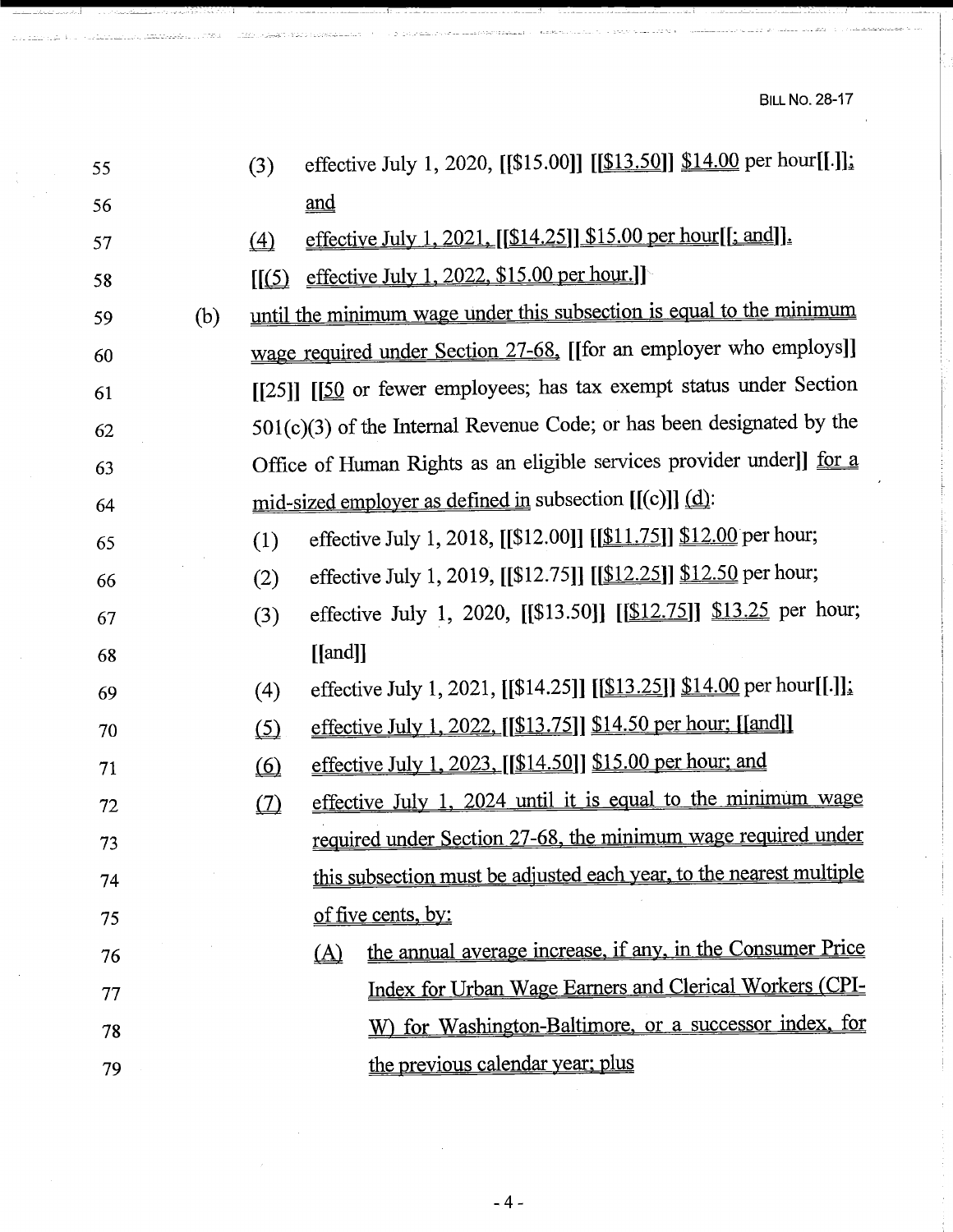BILL No. 28-17

| 55 |     | (3)                        | effective July 1, 2020, [[\$15.00]] [[\$13.50]] \$14.00 per hour[[.]];         |
|----|-----|----------------------------|--------------------------------------------------------------------------------|
| 56 |     |                            | $\underline{\text{and}}$                                                       |
| 57 |     | $\triangle$                | effective July 1, 2021, [[\$14.25]] \$15.00 per hour[[; and]].                 |
| 58 |     | $\left[\frac{5}{2}\right]$ | effective July 1, 2022, \$15.00 per hour.]                                     |
| 59 | (b) |                            | until the minimum wage under this subsection is equal to the minimum           |
| 60 |     |                            | wage required under Section 27-68. [[for an employer who employs]]             |
| 61 |     |                            | [[25]] [[50] or fewer employees; has tax exempt status under Section           |
| 62 |     |                            | $501(c)(3)$ of the Internal Revenue Code; or has been designated by the        |
| 63 |     |                            | Office of Human Rights as an eligible services provider under]] for a          |
| 64 |     |                            | mid-sized employer as defined in subsection $[(c)]$ $(d)$ :                    |
| 65 |     | (1)                        | effective July 1, 2018, [[\$12.00]] [[\$11.75]] \$12.00 per hour;              |
| 66 |     | (2)                        | effective July 1, 2019, [[\$12.75]] [[\$12.25]] \$12.50 per hour;              |
| 67 |     | (3)                        | effective July 1, 2020, [[\$13.50]] [[\$12.75]] \$13.25 per hour;              |
| 68 |     |                            | $[$ [and]]                                                                     |
| 69 |     | (4)                        | effective July 1, 2021, [[\$14.25]] [[ <u>\$13.25]] \$14.00</u> per hour[[.]]; |
| 70 |     | $\circ$                    | effective July 1, 2022, [[\$13.75]] \$14.50 per hour; [[and]]                  |
| 71 |     | $\circled{6}$              | effective July 1, 2023, [[\$14.50]] \$15.00 per hour; and                      |
| 72 |     | $\omega$                   | effective July 1, 2024 until it is equal to the minimum wage                   |
| 73 |     |                            | required under Section 27-68, the minimum wage required under                  |
| 74 |     |                            | this subsection must be adjusted each year, to the nearest multiple            |
| 75 |     |                            | of five cents, by:                                                             |
| 76 |     |                            | the annual average increase, if any, in the Consumer Price<br>$\Delta$         |
| 77 |     |                            | Index for Urban Wage Earners and Clerical Workers (CPI-                        |
| 78 |     |                            | W) for Washington-Baltimore, or a successor index, for                         |
| 79 |     |                            | the previous calendar year; plus                                               |

-4-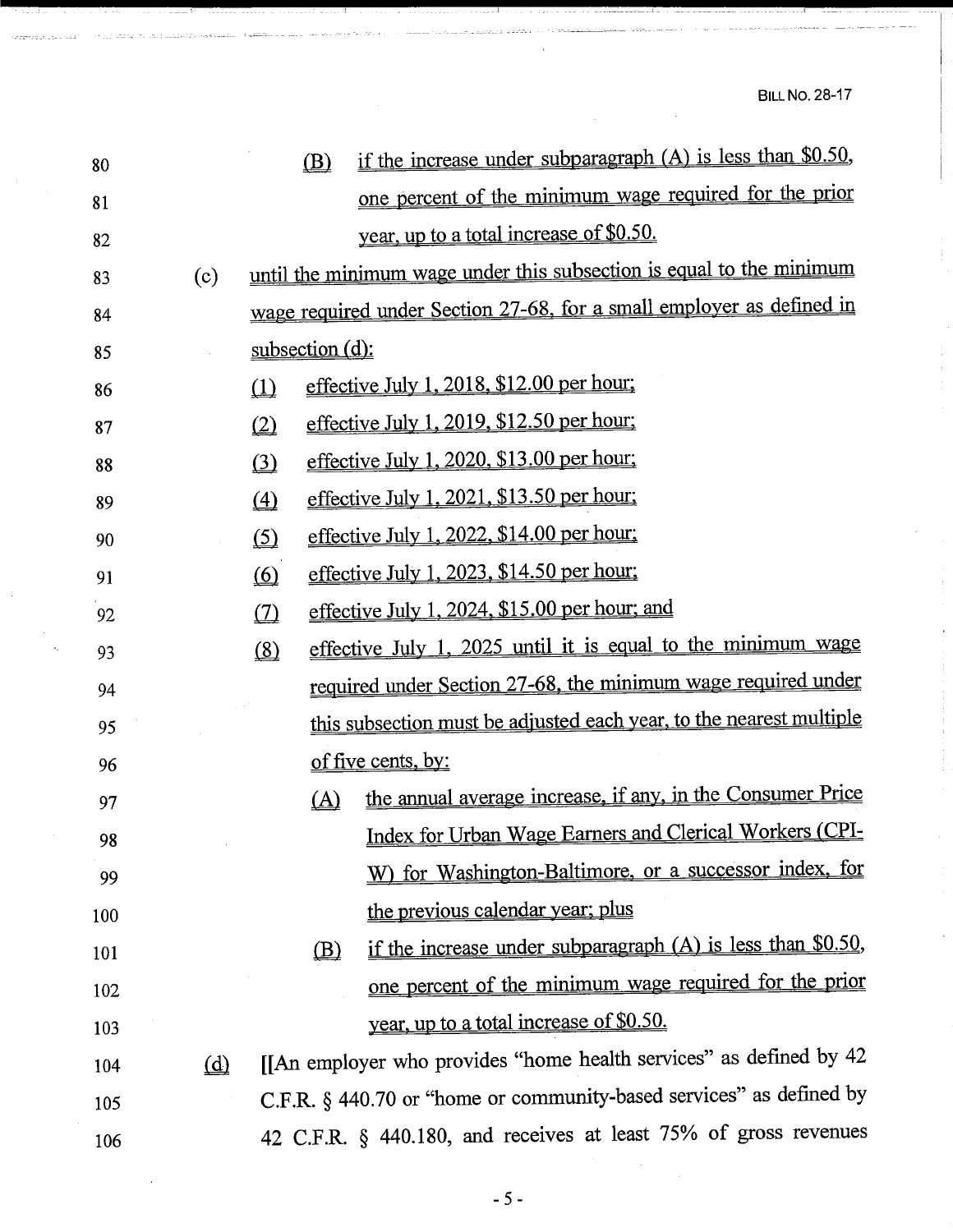| 80  |          | if the increase under subparagraph (A) is less than \$0.50,<br>$\circledB$ |
|-----|----------|----------------------------------------------------------------------------|
| 81  |          | one percent of the minimum wage required for the prior                     |
| 82  |          | year, up to a total increase of \$0.50.                                    |
| 83  | (c)      | until the minimum wage under this subsection is equal to the minimum       |
| 84  |          | wage required under Section 27-68, for a small employer as defined in      |
| 85  |          | subsection (d):                                                            |
| 86  |          | effective July 1, 2018, \$12.00 per hour;<br>$\Omega$                      |
| 87  |          | effective July 1, 2019, \$12.50 per hour;<br>$\underline{\textcircled{2}}$ |
| 88  |          | effective July 1, 2020, \$13.00 per hour;<br>$\bigcirc$                    |
| 89  |          | effective July 1, 2021, \$13.50 per hour;<br>$\triangle$                   |
| 90  |          | effective July 1, 2022, \$14.00 per hour;<br>$\circ$                       |
| 91  |          | effective July 1, 2023, \$14.50 per hour;<br>$\circ$                       |
| 92  |          | effective July 1, 2024, \$15.00 per hour; and<br>$\omega$                  |
| 93  |          | effective July 1, 2025 until it is equal to the minimum wage<br>(8)        |
| 94  |          | required under Section 27-68, the minimum wage required under              |
| 95  |          | this subsection must be adjusted each year, to the nearest multiple        |
| 96  |          | of five cents, by:                                                         |
| 97  |          | the annual average increase, if any, in the Consumer Price<br>(A)          |
| 98  |          | Index for Urban Wage Earners and Clerical Workers (CPI-                    |
| 99  |          | W) for Washington-Baltimore, or a successor index, for                     |
| 100 |          | the previous calendar year; plus                                           |
| 101 |          | if the increase under subparagraph $(A)$ is less than \$0.50,<br>(B)       |
| 102 |          | one percent of the minimum wage required for the prior                     |
| 103 |          | year, up to a total increase of \$0.50.                                    |
| 104 | $\omega$ | [[An employer who provides "home health services" as defined by 42         |
| 105 |          | C.F.R. § 440.70 or "home or community-based services" as defined by        |
| 106 |          | 42 C.F.R. § 440.180, and receives at least 75% of gross revenues           |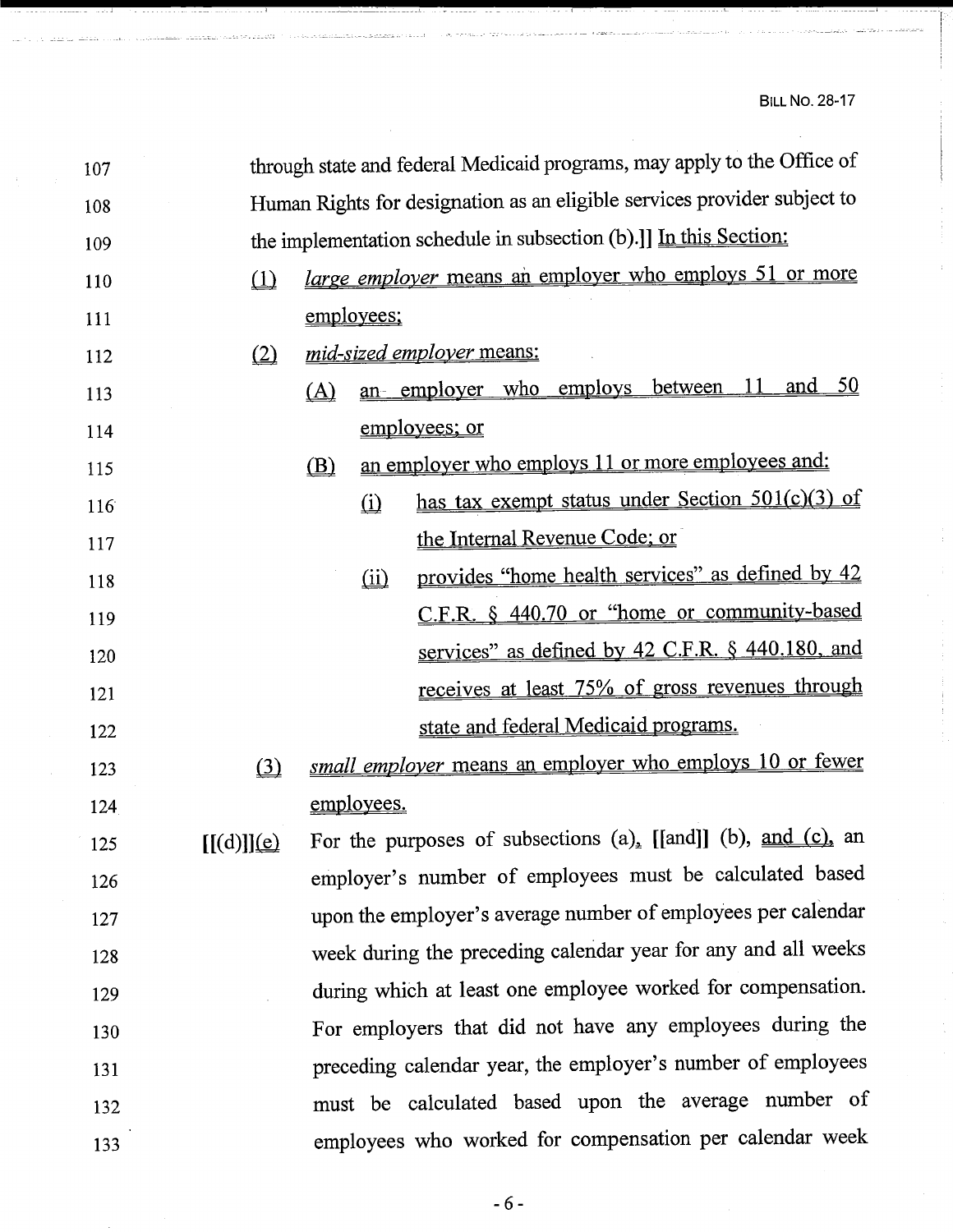| 107 |            |                                                                          |                          | through state and federal Medicaid programs, may apply to the Office of |  |
|-----|------------|--------------------------------------------------------------------------|--------------------------|-------------------------------------------------------------------------|--|
| 108 |            | Human Rights for designation as an eligible services provider subject to |                          |                                                                         |  |
| 109 |            | the implementation schedule in subsection (b).]] In this Section:        |                          |                                                                         |  |
| 110 | (1)        |                                                                          |                          | <i>large employer</i> means an employer who employs 51 or more          |  |
| 111 |            |                                                                          | employees;               |                                                                         |  |
| 112 | (2)        |                                                                          |                          | mid-sized employer means:                                               |  |
| 113 |            | (A)                                                                      |                          | and $50$<br>- 11<br>an employer who employs between                     |  |
| 114 |            |                                                                          |                          | employees; or                                                           |  |
| 115 |            | (B)                                                                      |                          | an employer who employs 11 or more employees and:                       |  |
| 116 |            |                                                                          | $\Omega$                 | has tax exempt status under Section 501(c)(3) of                        |  |
| 117 |            |                                                                          |                          | the Internal Revenue Code; or                                           |  |
| 118 |            |                                                                          | $\overline{(\text{ii})}$ | provides "home health services" as defined by 42                        |  |
| 119 |            |                                                                          |                          | C.F.R. § 440.70 or "home or community-based                             |  |
| 120 |            |                                                                          |                          | services" as defined by 42 C.F.R. § 440.180, and                        |  |
| 121 |            |                                                                          |                          | receives at least 75% of gross revenues through                         |  |
| 122 |            |                                                                          |                          | state and federal Medicaid programs.                                    |  |
| 123 | $\Omega$   |                                                                          |                          | small employer means an employer who employs 10 or fewer                |  |
| 124 |            |                                                                          | employees.               |                                                                         |  |
| 125 | [[(d)]](e) |                                                                          |                          | For the purposes of subsections $(a)$ , [[and]] (b), and (c), an        |  |
| 126 |            |                                                                          |                          | employer's number of employees must be calculated based                 |  |
| 127 |            |                                                                          |                          | upon the employer's average number of employees per calendar            |  |
| 128 |            |                                                                          |                          | week during the preceding calendar year for any and all weeks           |  |
| 129 |            |                                                                          |                          | during which at least one employee worked for compensation.             |  |
| 130 |            |                                                                          |                          | For employers that did not have any employees during the                |  |
| 131 |            |                                                                          |                          | preceding calendar year, the employer's number of employees             |  |
| 132 |            |                                                                          |                          | must be calculated based upon the average number of                     |  |
| 133 |            |                                                                          |                          | employees who worked for compensation per calendar week                 |  |

-6-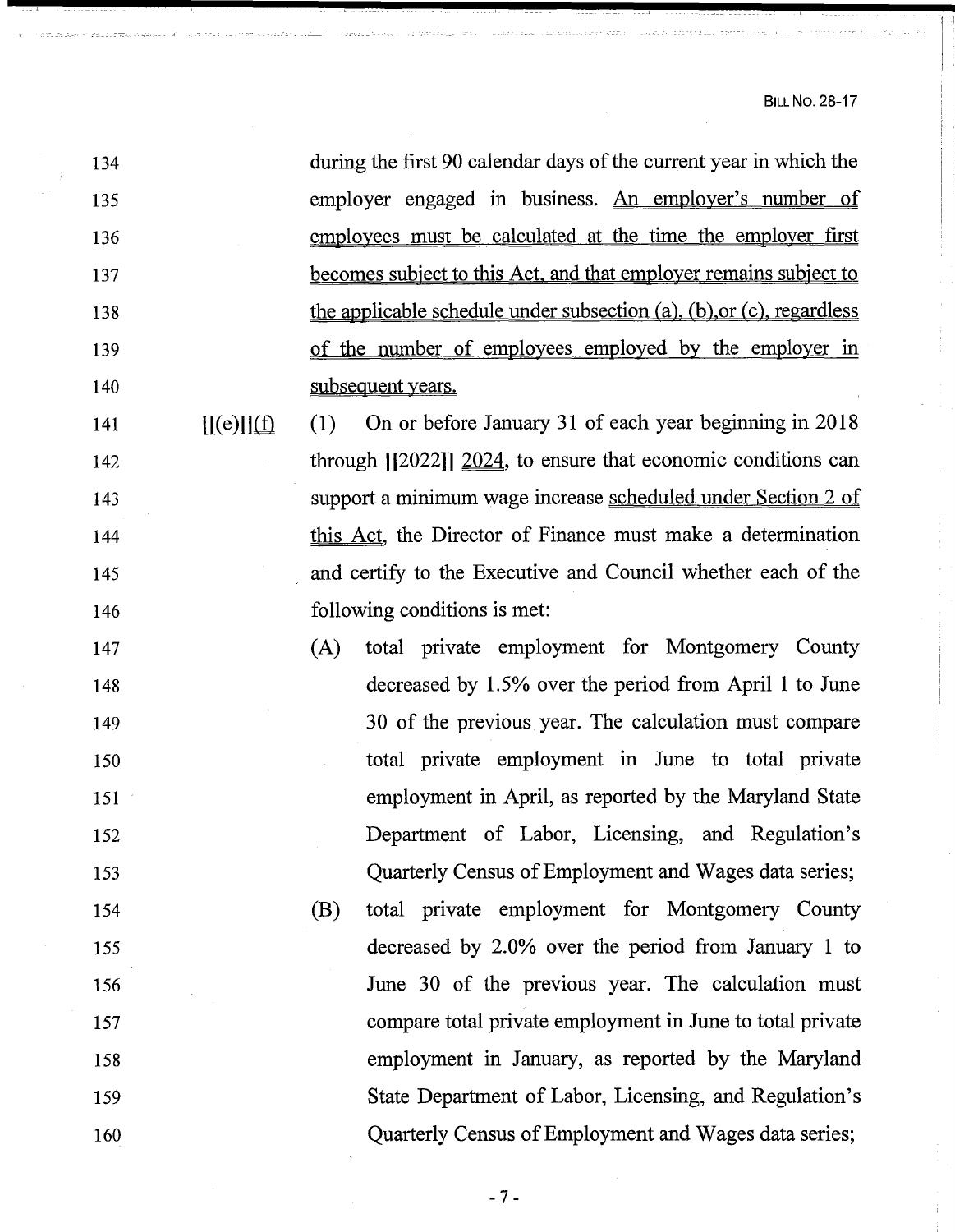| 134                             | during the first 90 calendar days of the current year in which the    |
|---------------------------------|-----------------------------------------------------------------------|
| 135                             | employer engaged in business. An employer's number of                 |
| 136                             | employees must be calculated at the time the employer first           |
| 137                             | becomes subject to this Act, and that employer remains subject to     |
| 138                             | the applicable schedule under subsection (a), (b), or (c), regardless |
| 139                             | of the number of employees employed by the employer in                |
| 140                             | subsequent years.                                                     |
| $[[(e)]](\underline{f})$<br>141 | On or before January 31 of each year beginning in 2018<br>(1)         |
| 142                             | through $[2022]$ $2024$ , to ensure that economic conditions can      |
| 143                             | support a minimum wage increase <u>scheduled under Section 2 of</u>   |
| 144                             | this Act, the Director of Finance must make a determination           |
| 145                             | and certify to the Executive and Council whether each of the          |
| 146                             | following conditions is met:                                          |
| 147                             | total private employment for Montgomery County<br>(A)                 |
| 148                             | decreased by 1.5% over the period from April 1 to June                |
| 149                             | 30 of the previous year. The calculation must compare                 |
| 150                             | total private employment in June to total private                     |
| 151                             | employment in April, as reported by the Maryland State                |
| 152                             | Department of Labor, Licensing, and Regulation's                      |
| 153                             | Quarterly Census of Employment and Wages data series;                 |
| 154                             | (B)<br>total private employment for Montgomery County                 |
| 155                             | decreased by 2.0% over the period from January 1 to                   |
| 156                             | June 30 of the previous year. The calculation must                    |
| 157                             | compare total private employment in June to total private             |
| 158                             | employment in January, as reported by the Maryland                    |
| 159                             | State Department of Labor, Licensing, and Regulation's                |
| 160                             | Quarterly Census of Employment and Wages data series;                 |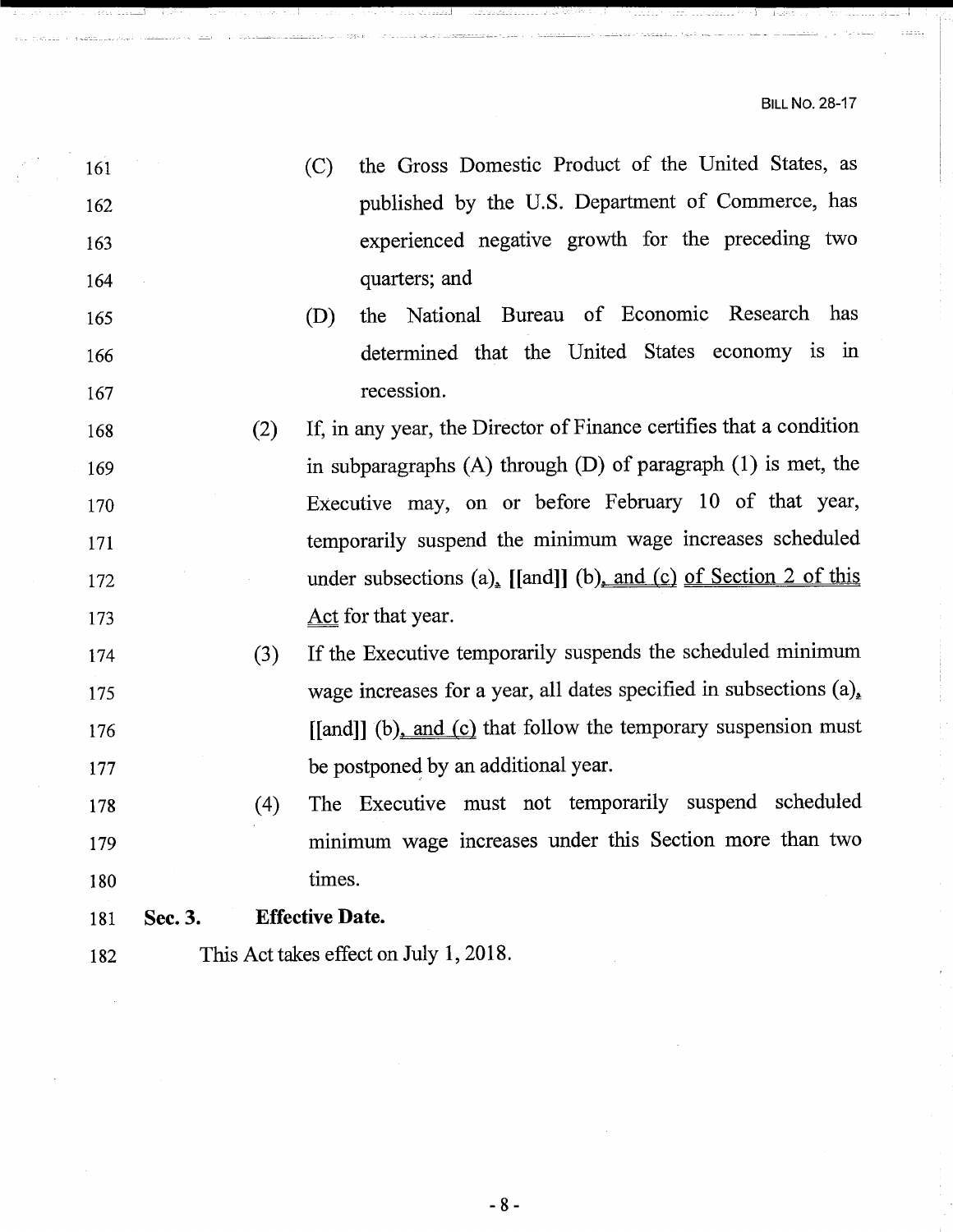, \_\_ - \_\_ - \_\_ I

| 161 |         |     | the Gross Domestic Product of the United States, as<br>(C)          |
|-----|---------|-----|---------------------------------------------------------------------|
| 162 |         |     | published by the U.S. Department of Commerce, has                   |
| 163 |         |     | experienced negative growth for the preceding two                   |
| 164 |         |     | quarters; and                                                       |
| 165 |         |     | the National Bureau of Economic Research has<br>(D)                 |
| 166 |         |     | determined that the United States economy is in                     |
| 167 |         |     | recession.                                                          |
| 168 |         | (2) | If, in any year, the Director of Finance certifies that a condition |
| 169 |         |     | in subparagraphs $(A)$ through $(D)$ of paragraph $(1)$ is met, the |
| 170 |         |     | Executive may, on or before February 10 of that year,               |
| 171 |         |     | temporarily suspend the minimum wage increases scheduled            |
| 172 |         |     | under subsections $(a)$ , [[and]] (b), and (c) of Section 2 of this |
| 173 |         |     | Act for that year.                                                  |
| 174 |         | (3) | If the Executive temporarily suspends the scheduled minimum         |
| 175 |         |     | wage increases for a year, all dates specified in subsections (a),  |
| 176 |         |     | [[and]] (b), and (c) that follow the temporary suspension must      |
| 177 |         |     | be postponed by an additional year.                                 |
| 178 |         | (4) | The Executive must not temporarily suspend scheduled                |
| 179 |         |     | minimum wage increases under this Section more than two             |
| 180 |         |     | times.                                                              |
| 181 | Sec. 3. |     | <b>Effective Date.</b>                                              |
| 182 |         |     | This Act takes effect on July 1, 2018.                              |
|     |         |     |                                                                     |